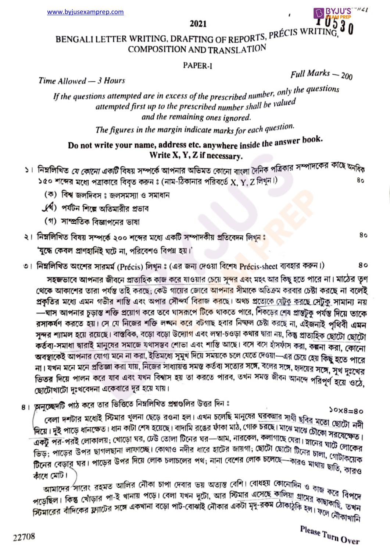## 2021<br>ETING OF PEPORTS, PRÉCIS WRITING,  $\frac{3}{9}$ BENGALI LETTER WRITING, DRAFTING OF REPORTS,  $^{PREC}$ COMPOSITION AND TRANSLATION

### PAPER-I

Time Allowed — 3 Hours  $F$ <sup>Ull Marks</sup>  $\sim$  200

B BYJU'S WELL

If the questions attempted are in excess of the prescribed number, only the questions attempted first up to the prescribed number shall be valued and the remaining ones ignored.<br>The figures in the margin indicate marks for each question.

# Do not write your name, address etc. anywhere inside the answer book.

- Write X, Y, Z if necessary.<br>১। নিম্নলিখিত *যে কোনো একটি* বিষয় সম্পর্কে আপনার অভিমত কোনো বাংলা দৈনিক পত্রিকার সম্পাদকের কাছে অন<sub>ধিক</sub> ১৫০ শব্দের মধ্যে পত্রাকারে বিবৃত করুন ঃ (নাম-ঠিকানার পরিবর্তে  $X, Y, Z$  লিখুন।)<br>(ক) বিশ্ব জলদিবস ঃ জলসমস্যা ও সমাধান 80
	-
	- ( ) পর্যটন শিল্পে অতিমারীর প্রভাব
	- (গ) সাম্প্রতিক বিজ্ঞাপনের ভাষা

### ২। নিম্নলিখিত বিষয় সম্পর্কে ২০০ শব্দের মধ্যে একটি সম্পাদকীয় প্রতিবেদন লিখুনঃ

'যুদ্ধে কেবল প্রাণহানিই ঘটে না, পরিবেশও বিপন্ন হয়।'<br>৩। নিম্নলিখিত অংশের সারমর্ম (Précis) লিখুন ঃ (এর জন্য দেওয়া বিশেষ <mark>Préc</mark>is-sheet ব্যবহার করুন।) 80<br>সহজভাবে আপনার জীবনে প্রাত্যহিক কাজ করে যাওয়ার চেয়ে সুন থেকে আকাশের তারা পর্যন্ত তাই করছে; কেউ গায়ের জোরে <mark>আপনার</mark> সীমাকে অতিক্রম করবার চেষ্টা করছে না বলেই প্রকৃতির মধ্যে এমন গভীর শাস্তি এবং অপার সৌন্দর্য বিরাজ করছে। অথচ প্রত্যেকে যেটুকু করছে সেটুকু সামান্য নয় —ঘাস আপনার চূড়াস্ত শক্তি প্রয়োগ করে তবে ঘাসরূপে টিকে থাকতে পারে, শিকড়ের শেষ প্রান্তটুকু পর্যন্ত দিয়ে তাকে রসাকর্ষণ করতে হয়। সে যে নিজের শক্তি লব্দন করে বটগাছ হবার নিষ্ণল চেষ্টা করছে না, এইজনাই পৃথিবী এমন সুন্দর শ্যামল হয়ে রয়েছে। বাস্তবিক, বড়ো বড়ো উদ্যোগ এবং লম্বা-চওড়া কথার দ্বারা নয়, কিন্তু প্রাত্যহিক ছোটো ছোটো কর্তব্য-সমাধা দ্বারাই মানুষের সমাজে যথাসম্ভব শোভা এবং শাস্তি আছে। বসে বসে হাঁসফাঁস করা, কল্পনা করা, কোনো ক্ষত্রতা দামা যায়াই মাতৃয়ে সময়ত বিদ্যাত হোৱা হয়। সময়কে চলে যেতে দেওয়া—এর চেয়ে হেয় কিছু হতে পারে অবহাকেই আগবার বোণা মনে না করা, হাতমবোণা দুদু নায়ে সময়দে তলে কেতে কাজা আর চেয়ে হেয় কিছু হতে পারে<br>না। যখন মনে মনে প্রতিজ্ঞা করা যায়, নিজের সাধ্যায়ত্ত সমস্ত কর্তব্য সত্যের সঙ্গে, বলের সঙ্গে, হাদয়ের সঙ্গে, সুখ দুঃখের না। যখন মনে মনে ভ্রাভজ্জা করা বার, নিজের পাব্যারও নমন্ত কওঁক নতের পর্বে, করার পরের সাক্ষ, সুখ দুঃখের<br>ভিতর দিয়ে পালন করে যাব এবং যখন বিশ্বাস হয় তা করতে পারব, তখন সমস্ত জীবন আনন্দে পরিপূর্ণ হয়ে ওঠে, ছোটোখাটো দুঃখবেদনা একেবারে দূর হয়ে যায়।

৪। আনুচ্ছেদটি পাঠ করে তার ভিত্তিতে নিম্নলিখিত প্রশ্নগুলির উত্তর দিন ঃ

কেলা দশটার মধ্যেই স্টিমার খুলনা ছেড়ে রওনা হল। এখন চলেছি মানুষের ঘরকমার সাথী ছবির মতো ছোটো নদী 'দিয়ে। দুই পাড়ে ধানক্ষেত। ধান কাটা শেষ হয়েছে। বাদামি রঙের ফাকা মাঠ, গোর্ম চমহে। মাঝে মাঝে চৌকো সরয়েক্ষেত।<br>একটু পর-পরই লোকালয়; খোড়ো ঘর, ঢেউ তোলা টিনের ঘর—আম, নারকেল, কলাগাছে ঘেরা। স্নানের ঘাটে লোকেত।<br>সিক্রা প্রদেশের একটু পর-পরই লোকালয়; খোড়ো ঘর, ঢেও তোলা ঢিনের ঘর—আম, নারবেন্দা, ক্যাগাছে ঘেরা। স্নানের ঘাটে লোকের<br>ভিড়; পাড়ের উপর ছাগলছানা লাফাচ্ছে। কোথাও নদীর ধারে হাটের জায়গা; ছোটো ছোটো টিনের চালা, গোটাকের<br>ভিড্র, বেদের ঘর। পাড়ুরে উ ভিড়; পাড়ের উপর ছাগলছানা লাফাঙ্ছে। কোত্মও নদার ধারে হাঢ়ের জার্ম্যা; হোটো তালো টিনের চালা, গোটাকয়েক<br>টিনের বেড়ার ঘর। পাড়ের উপর দিয়ে লোক চলাচলের পথ; নানা বেশের লোক চলেছে—কারও মাথায় ছাতি, কারও कारथ त्याँगे।

ধে মেট।<br>আমাদের সারেং রহমত আলির নৌকা চাপা দেবার ভয় অত্যন্ত বেশি। বোধহয় কোনোদিন ও <sub>কাজ </sub>করে বিপদে<br>দুচ্চিত্র। ক্রিন্ত খৌড়ার পা-ই থানায় পড়ে। বেলা যখন দুটো, আর স্টিমার এসেছে কালিয়া গ্রামের <sub>ক্রীন</sub> করে বিপদে আমাদের সারেং রহমত আলির নোকা চাপা দেবার ভয় অত্যন্ত বোশ। বোবহর কোনোদিন ও <sub>কীজ</sub> করে বিপদে<br>পড়েছিল। কিন্তু খোঁড়ার পা-ই খানায় পড়ে। বেলা যখন দুটো, আর স্টিমার এসেছে কালিয়া গ্রামের কাছাকাছি, তিখন<br>স্ক্রোবের বাঁদিকের ফ্রাটের পড়েছিল। কিন্তু খোড়ার পা-ই খানায় পড়ে। বেলা যখন দুটো, আর াস্ত্র্যার এসেছে ক্যালয়া গ্রামের ক্রাছাকাছি, তখন<br>স্টিমারের বাঁদিকের ফ্ল্যাটের সঙ্গে একখানা বড়ো পাট-বোঝাই নৌকার একটা মৃদু-রকম ঠোকাঠুকি হল। ফলে নৌকাখানি

80

80